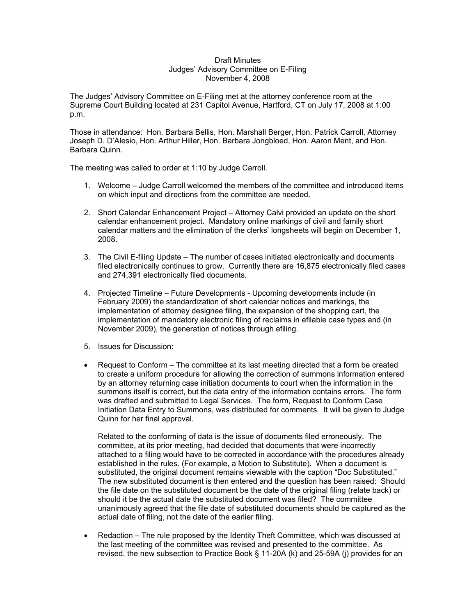## Draft Minutes Judges' Advisory Committee on E-Filing November 4, 2008

The Judges' Advisory Committee on E-Filing met at the attorney conference room at the Supreme Court Building located at 231 Capitol Avenue, Hartford, CT on July 17, 2008 at 1:00 p.m.

Those in attendance: Hon. Barbara Bellis, Hon. Marshall Berger, Hon. Patrick Carroll, Attorney Joseph D. D'Alesio, Hon. Arthur Hiller, Hon. Barbara Jongbloed, Hon. Aaron Ment, and Hon. Barbara Quinn.

The meeting was called to order at 1:10 by Judge Carroll.

- 1. Welcome Judge Carroll welcomed the members of the committee and introduced items on which input and directions from the committee are needed.
- 2. Short Calendar Enhancement Project Attorney Calvi provided an update on the short calendar enhancement project. Mandatory online markings of civil and family short calendar matters and the elimination of the clerks' longsheets will begin on December 1, 2008.
- 3. The Civil E-filing Update The number of cases initiated electronically and documents filed electronically continues to grow. Currently there are 16,875 electronically filed cases and 274,391 electronically filed documents.
- 4. Projected Timeline Future Developments Upcoming developments include (in February 2009) the standardization of short calendar notices and markings, the implementation of attorney designee filing, the expansion of the shopping cart, the implementation of mandatory electronic filing of reclaims in efilable case types and (in November 2009), the generation of notices through efiling.
- 5. Issues for Discussion:
- Request to Conform The committee at its last meeting directed that a form be created to create a uniform procedure for allowing the correction of summons information entered by an attorney returning case initiation documents to court when the information in the summons itself is correct, but the data entry of the information contains errors. The form was drafted and submitted to Legal Services. The form, Request to Conform Case Initiation Data Entry to Summons, was distributed for comments. It will be given to Judge Quinn for her final approval.

Related to the conforming of data is the issue of documents filed erroneously. The committee, at its prior meeting, had decided that documents that were incorrectly attached to a filing would have to be corrected in accordance with the procedures already established in the rules. (For example, a Motion to Substitute). When a document is substituted, the original document remains viewable with the caption "Doc Substituted." The new substituted document is then entered and the question has been raised: Should the file date on the substituted document be the date of the original filing (relate back) or should it be the actual date the substituted document was filed? The committee unanimously agreed that the file date of substituted documents should be captured as the actual date of filing, not the date of the earlier filing.

• Redaction – The rule proposed by the Identity Theft Committee, which was discussed at the last meeting of the committee was revised and presented to the committee. As revised, the new subsection to Practice Book § 11-20A (k) and 25-59A (j) provides for an